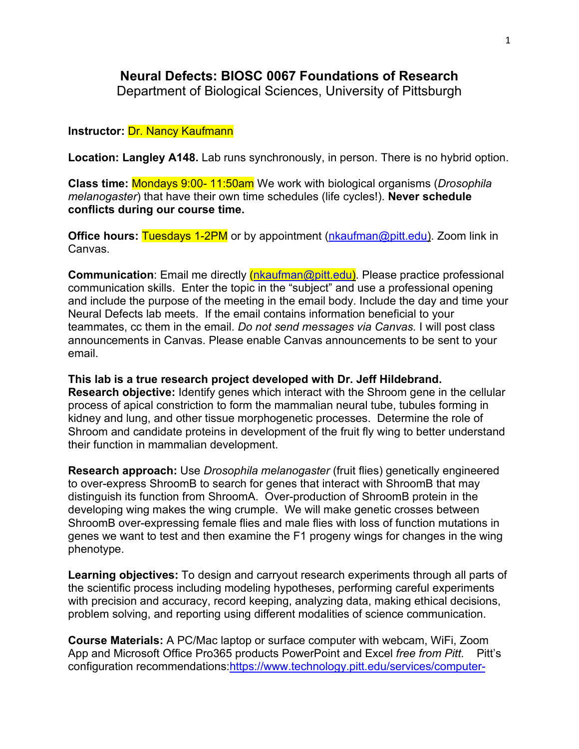# **Neural Defects: BIOSC 0067 Foundations of Research**

Department of Biological Sciences, University of Pittsburgh

## **Instructor:** Dr. Nancy Kaufmann

**Location: Langley A148.** Lab runs synchronously, in person. There is no hybrid option.

**Class time:** Mondays 9:00- 11:50am We work with biological organisms (*Drosophila melanogaster*) that have their own time schedules (life cycles!). **Never schedule conflicts during our course time.**

**Office hours: Tuesdays 1-2PM** or by appointment [\(nkaufman@pitt.edu\)](mailto:nkaufman@pitt.edu). Zoom link in Canvas.

**Communication**: Email me directly *[\(nkaufman@pitt.edu\)](mailto:nkaufman@pitt.edu)*. Please practice professional communication skills. Enter the topic in the "subject" and use a professional opening and include the purpose of the meeting in the email body. Include the day and time your Neural Defects lab meets. If the email contains information beneficial to your teammates, cc them in the email. *Do not send messages via Canvas.* I will post class announcements in Canvas. Please enable Canvas announcements to be sent to your email.

**This lab is a true research project developed with Dr. Jeff Hildebrand. Research objective:** Identify genes which interact with the Shroom gene in the cellular process of apical constriction to form the mammalian neural tube, tubules forming in kidney and lung, and other tissue morphogenetic processes. Determine the role of Shroom and candidate proteins in development of the fruit fly wing to better understand their function in mammalian development.

**Research approach:** Use *Drosophila melanogaster* (fruit flies) genetically engineered to over-express ShroomB to search for genes that interact with ShroomB that may distinguish its function from ShroomA. Over-production of ShroomB protein in the developing wing makes the wing crumple. We will make genetic crosses between ShroomB over-expressing female flies and male flies with loss of function mutations in genes we want to test and then examine the F1 progeny wings for changes in the wing phenotype.

**Learning objectives:** To design and carryout research experiments through all parts of the scientific process including modeling hypotheses, performing careful experiments with precision and accuracy, record keeping, analyzing data, making ethical decisions, problem solving, and reporting using different modalities of science communication.

**Course Materials:** A PC/Mac laptop or surface computer with webcam, WiFi, Zoom App and Microsoft Office Pro365 products PowerPoint and Excel *free from Pitt*. Pitt's configuration recommendations[:https://www.technology.pitt.edu/services/computer-](https://www.technology.pitt.edu/services/computer-purchasing-students)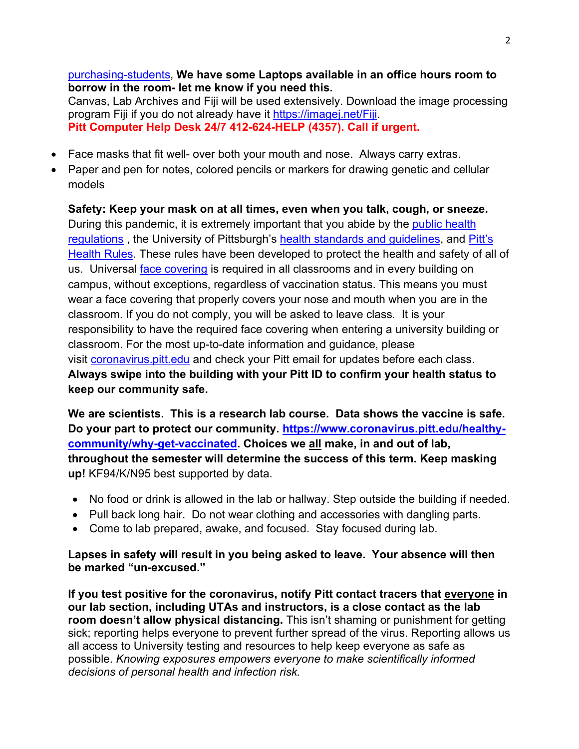[purchasing-students,](https://www.technology.pitt.edu/services/computer-purchasing-students) **We have some Laptops available in an office hours room to borrow in the room- let me know if you need this.** Canvas, Lab Archives and Fiji will be used extensively. Download the image processing program Fiji if you do not already have it [https://imagej.net/Fiji.](https://imagej.net/Fiji) **Pitt Computer Help Desk 24/7 412-624-HELP (4357). Call if urgent.** 

- Face masks that fit well- over both your mouth and nose. Always carry extras.
- Paper and pen for notes, colored pencils or markers for drawing genetic and cellular models

**Safety: Keep your mask on at all times, even when you talk, cough, or sneeze.** During this pandemic, it is extremely important that you abide by the [public health](https://www.alleghenycounty.us/Health-Department/Resources/COVID-19/COVID-19.aspx)  [regulations](https://www.alleghenycounty.us/Health-Department/Resources/COVID-19/COVID-19.aspx) , the University of Pittsburgh's [health standards and guidelines,](https://www.policy.pitt.edu/university-policies-and-procedures/covid-19-standards-and-guidelines) and [Pitt's](https://www.coronavirus.pitt.edu/healthy-community/pitts-health-rules)  [Health Rules.](https://www.coronavirus.pitt.edu/healthy-community/pitts-health-rules) These rules have been developed to protect the health and safety of all of us. Universal [face covering](https://www.coronavirus.pitt.edu/frequently-asked-questions-about-face-coverings) is required in all classrooms and in every building on campus, without exceptions, regardless of vaccination status. This means you must wear a face covering that properly covers your nose and mouth when you are in the classroom. If you do not comply, you will be asked to leave class. It is your responsibility to have the required face covering when entering a university building or classroom. For the most up-to-date information and guidance, please visit [coronavirus.pitt.edu](http://coronavirus.pitt.edu/) and check your Pitt email for updates before each class. **Always swipe into the building with your Pitt ID to confirm your health status to keep our community safe.**

**We are scientists. This is a research lab course. Data shows the vaccine is safe. Do your part to protect our community. [https://www.coronavirus.pitt.edu/healthy](https://www.coronavirus.pitt.edu/healthy-community/why-get-vaccinated)[community/why-get-vaccinated.](https://www.coronavirus.pitt.edu/healthy-community/why-get-vaccinated) Choices we all make, in and out of lab, throughout the semester will determine the success of this term. Keep masking up!** KF94/K/N95 best supported by data.

- No food or drink is allowed in the lab or hallway. Step outside the building if needed.
- Pull back long hair. Do not wear clothing and accessories with dangling parts.
- Come to lab prepared, awake, and focused. Stay focused during lab.

**Lapses in safety will result in you being asked to leave. Your absence will then be marked "un-excused."**

**If you test positive for the coronavirus, notify Pitt contact tracers that everyone in our lab section, including UTAs and instructors, is a close contact as the lab room doesn't allow physical distancing.** This isn't shaming or punishment for getting sick; reporting helps everyone to prevent further spread of the virus. Reporting allows us all access to University testing and resources to help keep everyone as safe as possible. *Knowing exposures empowers everyone to make scientifically informed decisions of personal health and infection risk.*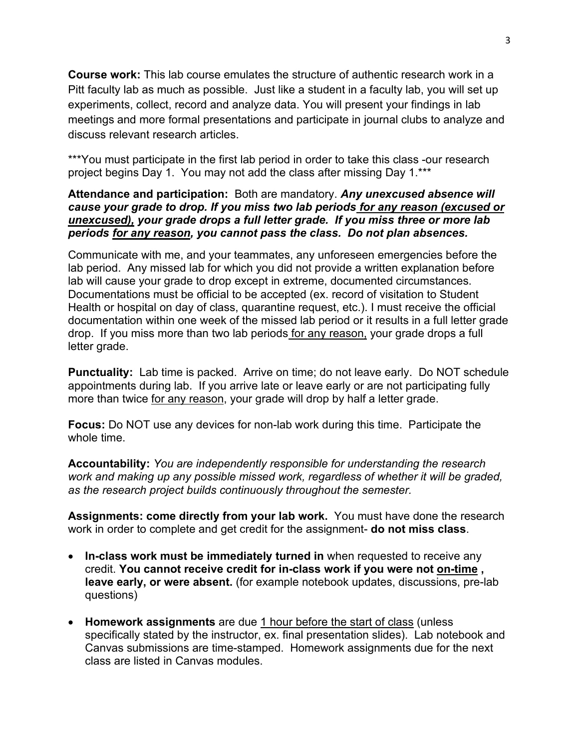**Course work:** This lab course emulates the structure of authentic research work in a Pitt faculty lab as much as possible. Just like a student in a faculty lab, you will set up experiments, collect, record and analyze data. You will present your findings in lab meetings and more formal presentations and participate in journal clubs to analyze and discuss relevant research articles.

\*\*\*You must participate in the first lab period in order to take this class -our research project begins Day 1. You may not add the class after missing Day 1.\*\*\*

## **Attendance and participation:** Both are mandatory. *Any unexcused absence will cause your grade to drop. If you miss two lab periods for any reason (excused or unexcused), your grade drops a full letter grade. If you miss three or more lab periods for any reason, you cannot pass the class. Do not plan absences.*

Communicate with me, and your teammates, any unforeseen emergencies before the lab period. Any missed lab for which you did not provide a written explanation before lab will cause your grade to drop except in extreme, documented circumstances. Documentations must be official to be accepted (ex. record of visitation to Student Health or hospital on day of class, quarantine request, etc.). I must receive the official documentation within one week of the missed lab period or it results in a full letter grade drop. If you miss more than two lab periods for any reason, your grade drops a full letter grade.

**Punctuality:** Lab time is packed. Arrive on time; do not leave early. Do NOT schedule appointments during lab. If you arrive late or leave early or are not participating fully more than twice for any reason, your grade will drop by half a letter grade.

**Focus:** Do NOT use any devices for non-lab work during this time. Participate the whole time.

**Accountability:** *You are independently responsible for understanding the research work and making up any possible missed work, regardless of whether it will be graded, as the research project builds continuously throughout the semester.*

**Assignments: come directly from your lab work.** You must have done the research work in order to complete and get credit for the assignment- **do not miss class**.

- **In-class work must be immediately turned in** when requested to receive any credit. **You cannot receive credit for in-class work if you were not on-time , leave early, or were absent.** (for example notebook updates, discussions, pre-lab questions)
- **Homework assignments** are due 1 hour before the start of class (unless specifically stated by the instructor, ex. final presentation slides). Lab notebook and Canvas submissions are time-stamped. Homework assignments due for the next class are listed in Canvas modules.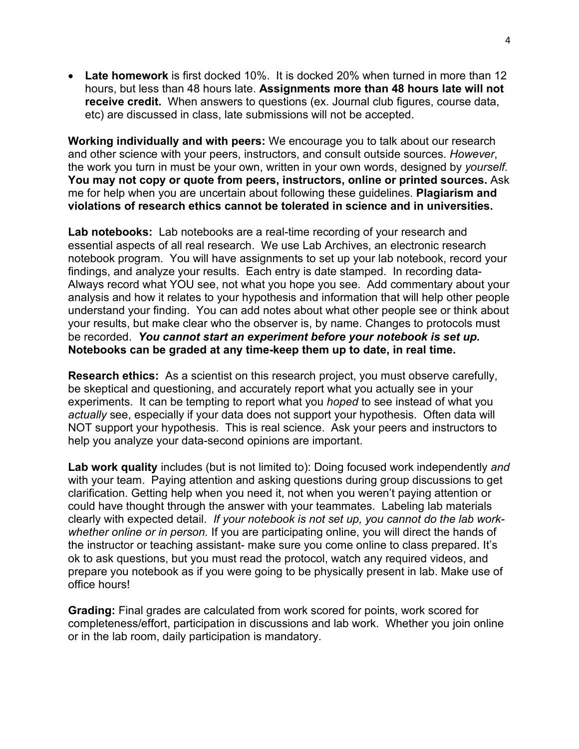• **Late homework** is first docked 10%. It is docked 20% when turned in more than 12 hours, but less than 48 hours late. **Assignments more than 48 hours late will not receive credit.** When answers to questions (ex. Journal club figures, course data, etc) are discussed in class, late submissions will not be accepted.

**Working individually and with peers:** We encourage you to talk about our research and other science with your peers, instructors, and consult outside sources. *However*, the work you turn in must be your own, written in your own words, designed by *yourself*. **You may not copy or quote from peers, instructors, online or printed sources.** Ask me for help when you are uncertain about following these guidelines. **Plagiarism and violations of research ethics cannot be tolerated in science and in universities.**

**Lab notebooks:** Lab notebooks are a real-time recording of your research and essential aspects of all real research. We use Lab Archives, an electronic research notebook program. You will have assignments to set up your lab notebook, record your findings, and analyze your results. Each entry is date stamped. In recording data-Always record what YOU see, not what you hope you see. Add commentary about your analysis and how it relates to your hypothesis and information that will help other people understand your finding. You can add notes about what other people see or think about your results, but make clear who the observer is, by name. Changes to protocols must be recorded. *You cannot start an experiment before your notebook is set up.* **Notebooks can be graded at any time-keep them up to date, in real time.**

**Research ethics:** As a scientist on this research project, you must observe carefully, be skeptical and questioning, and accurately report what you actually see in your experiments. It can be tempting to report what you *hoped* to see instead of what you *actually* see, especially if your data does not support your hypothesis. Often data will NOT support your hypothesis. This is real science. Ask your peers and instructors to help you analyze your data-second opinions are important.

**Lab work quality** includes (but is not limited to): Doing focused work independently *and* with your team. Paying attention and asking questions during group discussions to get clarification. Getting help when you need it, not when you weren't paying attention or could have thought through the answer with your teammates. Labeling lab materials clearly with expected detail. *If your notebook is not set up, you cannot do the lab workwhether online or in person.* If you are participating online, you will direct the hands of the instructor or teaching assistant- make sure you come online to class prepared. It's ok to ask questions, but you must read the protocol, watch any required videos, and prepare you notebook as if you were going to be physically present in lab. Make use of office hours!

**Grading:** Final grades are calculated from work scored for points, work scored for completeness/effort, participation in discussions and lab work. Whether you join online or in the lab room, daily participation is mandatory.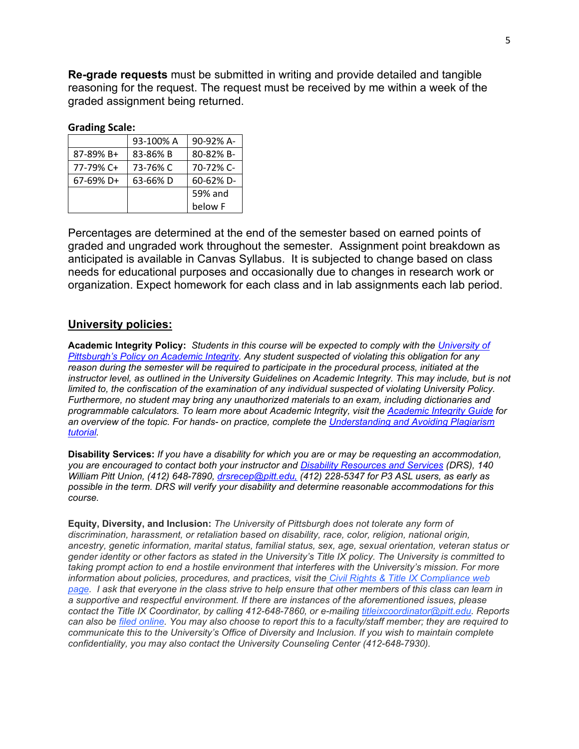**Re-grade requests** must be submitted in writing and provide detailed and tangible reasoning for the request. The request must be received by me within a week of the graded assignment being returned.

#### **Grading Scale:**

|              | 93-100% A | 90-92% A- |
|--------------|-----------|-----------|
| 87-89% B+    | 83-86% B  | 80-82% B- |
| 77-79% C+    | 73-76% C  | 70-72% C- |
| $67-69\%$ D+ | 63-66%D   | 60-62% D- |
|              |           | 59% and   |
|              |           | below F   |

Percentages are determined at the end of the semester based on earned points of graded and ungraded work throughout the semester. Assignment point breakdown as anticipated is available in Canvas Syllabus. It is subjected to change based on class needs for educational purposes and occasionally due to changes in research work or organization. Expect homework for each class and in lab assignments each lab period.

#### **University policies:**

**Academic Integrity Policy:** *Students in this course will be expected to comply with the [University of](https://www.provost.pitt.edu/info/ai1.html)  [Pittsburgh's Policy on Academic Integrity.](https://www.provost.pitt.edu/info/ai1.html) Any student suspected of violating this obligation for any reason during the semester will be required to participate in the procedural process, initiated at the*  instructor level, as outlined in the University Guidelines on Academic Integrity. This may include, but is not *limited to, the confiscation of the examination of any individual suspected of violating University Policy. Furthermore, no student may bring any unauthorized materials to an exam, including dictionaries and programmable calculators. To learn more about Academic Integrity, visit the [Academic Integrity Guide](http://pitt.libguides.com/academicintegrity/) for an overview of the topic. For hands- on practice, complete the [Understanding and Avoiding Plagiarism](http://pitt.libguides.com/academicintegrity/plagiarism)  [tutorial.](http://pitt.libguides.com/academicintegrity/plagiarism)*

**Disability Services:** *If you have a disability for which you are or may be requesting an accommodation, you are encouraged to contact both your instructor and [Disability Resources and Services](https://www.studentaffairs.pitt.edu/drs/) (DRS), 140 William Pitt Union, (412) 648-7890, [drsrecep@pitt.edu,](mailto:drsrecep@pitt.edu) (412) 228-5347 for P3 ASL users, as early as possible in the term. DRS will verify your disability and determine reasonable accommodations for this course.*

**Equity, Diversity, and Inclusion:** *The University of Pittsburgh does not tolerate any form of discrimination, harassment, or retaliation based on disability, race, color, religion, national origin, ancestry, genetic information, marital status, familial status, sex, age, sexual orientation, veteran status or gender identity or other factors as stated in the University's Title IX policy. The University is committed to taking prompt action to end a hostile environment that interferes with the University's mission. For more information about policies, procedures, and practices, visit the [Civil Rights & Title IX Compliance web](https://www.diversity.pitt.edu/civil-rights-title-ix-compliance)  [page.](https://www.diversity.pitt.edu/civil-rights-title-ix-compliance) I ask that everyone in the class strive to help ensure that other members of this class can learn in a supportive and respectful environment. If there are instances of the aforementioned issues, please contact the Title IX Coordinator, by calling 412-648-7860, or e-mailing [titleixcoordinator@pitt.edu.](mailto:titleixcoordinator@pitt.edu) Reports can also be [filed online.](https://www.diversity.pitt.edu/civil-rights-title-ix-compliance/make-report/report-form) You may also choose to report this to a faculty/staff member; they are required to communicate this to the University's Office of Diversity and Inclusion. If you wish to maintain complete confidentiality, you may also contact the University Counseling Center (412-648-7930).*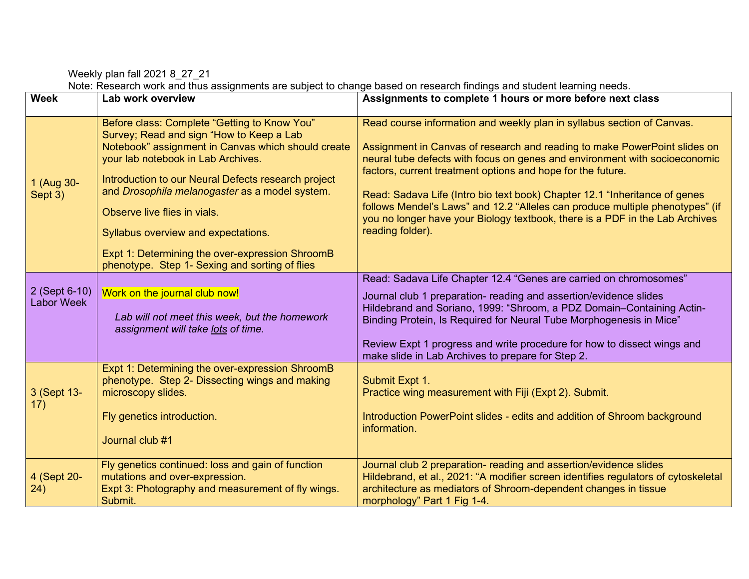Weekly plan fall 2021 8\_27\_21

Note: Research work and thus assignments are subject to change based on research findings and student learning needs.

| <b>Week</b>                        | Lab work overview                                                                                                                                                                                                                                                                                                                                                                                                                                                         | Assignments to complete 1 hours or more before next class                                                                                                                                                                                                                                                                                                                                                                                                                                                                                                           |
|------------------------------------|---------------------------------------------------------------------------------------------------------------------------------------------------------------------------------------------------------------------------------------------------------------------------------------------------------------------------------------------------------------------------------------------------------------------------------------------------------------------------|---------------------------------------------------------------------------------------------------------------------------------------------------------------------------------------------------------------------------------------------------------------------------------------------------------------------------------------------------------------------------------------------------------------------------------------------------------------------------------------------------------------------------------------------------------------------|
| 1 (Aug 30-<br>Sept 3)              | Before class: Complete "Getting to Know You"<br>Survey; Read and sign "How to Keep a Lab<br>Notebook" assignment in Canvas which should create<br>your lab notebook in Lab Archives.<br>Introduction to our Neural Defects research project<br>and Drosophila melanogaster as a model system.<br>Observe live flies in vials.<br>Syllabus overview and expectations.<br>Expt 1: Determining the over-expression ShroomB<br>phenotype. Step 1- Sexing and sorting of flies | Read course information and weekly plan in syllabus section of Canvas.<br>Assignment in Canvas of research and reading to make PowerPoint slides on<br>neural tube defects with focus on genes and environment with socioeconomic<br>factors, current treatment options and hope for the future.<br>Read: Sadava Life (Intro bio text book) Chapter 12.1 "Inheritance of genes<br>follows Mendel's Laws" and 12.2 "Alleles can produce multiple phenotypes" (if<br>you no longer have your Biology textbook, there is a PDF in the Lab Archives<br>reading folder). |
| 2 (Sept 6-10)<br><b>Labor Week</b> | Work on the journal club now!<br>Lab will not meet this week, but the homework<br>assignment will take lots of time.                                                                                                                                                                                                                                                                                                                                                      | Read: Sadava Life Chapter 12.4 "Genes are carried on chromosomes"<br>Journal club 1 preparation- reading and assertion/evidence slides<br>Hildebrand and Soriano, 1999: "Shroom, a PDZ Domain-Containing Actin-<br>Binding Protein, Is Required for Neural Tube Morphogenesis in Mice"<br>Review Expt 1 progress and write procedure for how to dissect wings and                                                                                                                                                                                                   |
| 3 (Sept 13-<br>17)                 | Expt 1: Determining the over-expression ShroomB<br>phenotype. Step 2- Dissecting wings and making<br>microscopy slides.<br>Fly genetics introduction.<br>Journal club #1                                                                                                                                                                                                                                                                                                  | make slide in Lab Archives to prepare for Step 2.<br>Submit Expt 1.<br>Practice wing measurement with Fiji (Expt 2). Submit.<br>Introduction PowerPoint slides - edits and addition of Shroom background<br>information.                                                                                                                                                                                                                                                                                                                                            |
| 4 (Sept 20-<br>24)                 | Fly genetics continued: loss and gain of function<br>mutations and over-expression.<br>Expt 3: Photography and measurement of fly wings.<br>Submit.                                                                                                                                                                                                                                                                                                                       | Journal club 2 preparation- reading and assertion/evidence slides<br>Hildebrand, et al., 2021: "A modifier screen identifies regulators of cytoskeletal<br>architecture as mediators of Shroom-dependent changes in tissue<br>morphology" Part 1 Fig 1-4.                                                                                                                                                                                                                                                                                                           |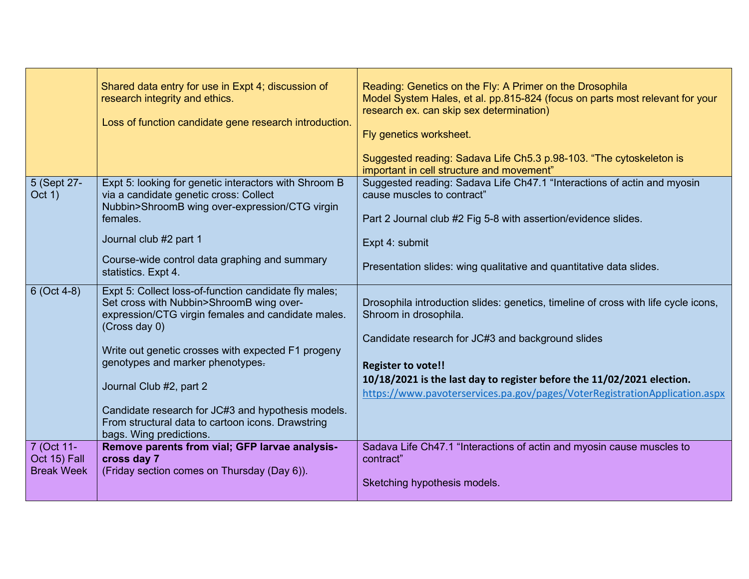|                                                 | Shared data entry for use in Expt 4; discussion of<br>research integrity and ethics.<br>Loss of function candidate gene research introduction.                                                                                                                                                                                                                                                                                      | Reading: Genetics on the Fly: A Primer on the Drosophila<br>Model System Hales, et al. pp.815-824 (focus on parts most relevant for your<br>research ex. can skip sex determination)<br>Fly genetics worksheet.<br>Suggested reading: Sadava Life Ch5.3 p.98-103. "The cytoskeleton is<br>important in cell structure and movement"                   |
|-------------------------------------------------|-------------------------------------------------------------------------------------------------------------------------------------------------------------------------------------------------------------------------------------------------------------------------------------------------------------------------------------------------------------------------------------------------------------------------------------|-------------------------------------------------------------------------------------------------------------------------------------------------------------------------------------------------------------------------------------------------------------------------------------------------------------------------------------------------------|
| 5 (Sept 27-<br>Oct 1)                           | Expt 5: looking for genetic interactors with Shroom B<br>via a candidate genetic cross: Collect<br>Nubbin>ShroomB wing over-expression/CTG virgin<br>females.<br>Journal club #2 part 1<br>Course-wide control data graphing and summary<br>statistics. Expt 4.                                                                                                                                                                     | Suggested reading: Sadava Life Ch47.1 "Interactions of actin and myosin<br>cause muscles to contract"<br>Part 2 Journal club #2 Fig 5-8 with assertion/evidence slides.<br>Expt 4: submit<br>Presentation slides: wing qualitative and quantitative data slides.                                                                                      |
| $6$ (Oct 4-8)                                   | Expt 5: Collect loss-of-function candidate fly males;<br>Set cross with Nubbin>ShroomB wing over-<br>expression/CTG virgin females and candidate males.<br>(Cross day 0)<br>Write out genetic crosses with expected F1 progeny<br>genotypes and marker phenotypes.<br>Journal Club #2, part 2<br>Candidate research for JC#3 and hypothesis models.<br>From structural data to cartoon icons. Drawstring<br>bags. Wing predictions. | Drosophila introduction slides: genetics, timeline of cross with life cycle icons,<br>Shroom in drosophila.<br>Candidate research for JC#3 and background slides<br><b>Register to vote!!</b><br>10/18/2021 is the last day to register before the 11/02/2021 election.<br>https://www.pavoterservices.pa.gov/pages/VoterRegistrationApplication.aspx |
| 7 (Oct 11-<br>Oct 15) Fall<br><b>Break Week</b> | Remove parents from vial; GFP larvae analysis-<br>cross day 7<br>(Friday section comes on Thursday (Day 6)).                                                                                                                                                                                                                                                                                                                        | Sadava Life Ch47.1 "Interactions of actin and myosin cause muscles to<br>contract"<br>Sketching hypothesis models.                                                                                                                                                                                                                                    |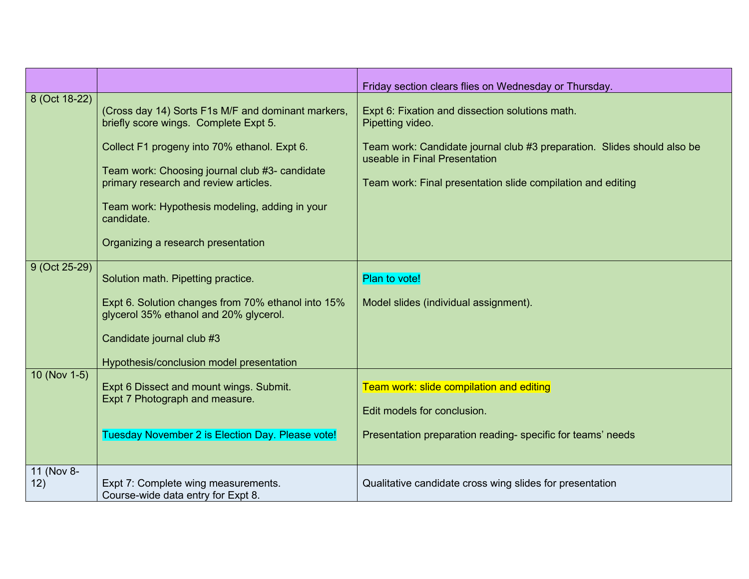|                   |                                                                                                                                                                                                                                                                                                                                              | Friday section clears flies on Wednesday or Thursday.                                                                                                                                                                                          |
|-------------------|----------------------------------------------------------------------------------------------------------------------------------------------------------------------------------------------------------------------------------------------------------------------------------------------------------------------------------------------|------------------------------------------------------------------------------------------------------------------------------------------------------------------------------------------------------------------------------------------------|
| 8 (Oct 18-22)     | (Cross day 14) Sorts F1s M/F and dominant markers,<br>briefly score wings. Complete Expt 5.<br>Collect F1 progeny into 70% ethanol. Expt 6.<br>Team work: Choosing journal club #3- candidate<br>primary research and review articles.<br>Team work: Hypothesis modeling, adding in your<br>candidate.<br>Organizing a research presentation | Expt 6: Fixation and dissection solutions math.<br>Pipetting video.<br>Team work: Candidate journal club #3 preparation. Slides should also be<br>useable in Final Presentation<br>Team work: Final presentation slide compilation and editing |
| 9 (Oct 25-29)     | Solution math. Pipetting practice.<br>Expt 6. Solution changes from 70% ethanol into 15%<br>glycerol 35% ethanol and 20% glycerol.<br>Candidate journal club #3<br>Hypothesis/conclusion model presentation                                                                                                                                  | Plan to vote!<br>Model slides (individual assignment).                                                                                                                                                                                         |
| 10 (Nov 1-5)      | Expt 6 Dissect and mount wings. Submit.<br>Expt 7 Photograph and measure.<br>Tuesday November 2 is Election Day. Please vote!                                                                                                                                                                                                                | Team work: slide compilation and editing<br>Edit models for conclusion.<br>Presentation preparation reading-specific for teams' needs                                                                                                          |
| 11 (Nov 8-<br>12) | Expt 7: Complete wing measurements.<br>Course-wide data entry for Expt 8.                                                                                                                                                                                                                                                                    | Qualitative candidate cross wing slides for presentation                                                                                                                                                                                       |